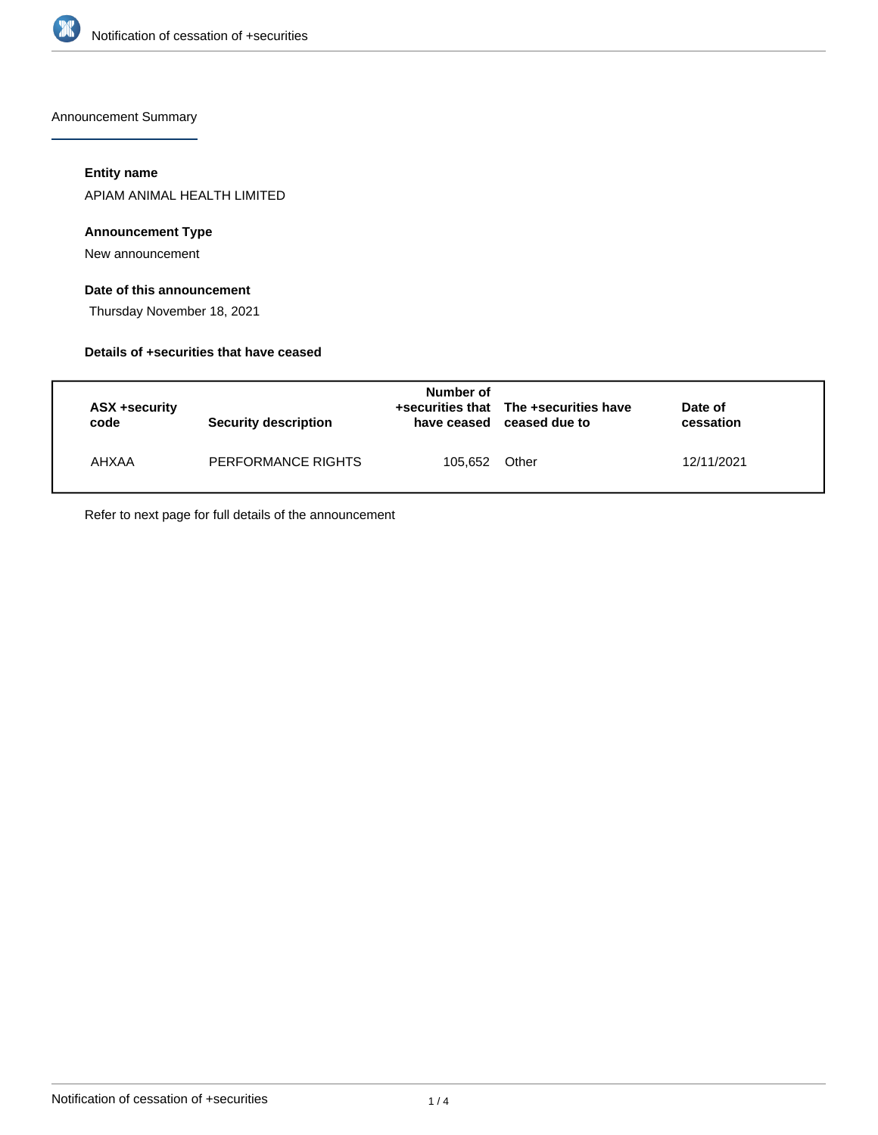

Announcement Summary

## **Entity name**

APIAM ANIMAL HEALTH LIMITED

## **Announcement Type**

New announcement

## **Date of this announcement**

Thursday November 18, 2021

#### **Details of +securities that have ceased**

| ASX +security<br>code | Security description | Number of | +securities that The +securities have<br>have ceased ceased due to | Date of<br>cessation |  |
|-----------------------|----------------------|-----------|--------------------------------------------------------------------|----------------------|--|
| AHXAA                 | PERFORMANCE RIGHTS   | 105.652   | Other                                                              | 12/11/2021           |  |

Refer to next page for full details of the announcement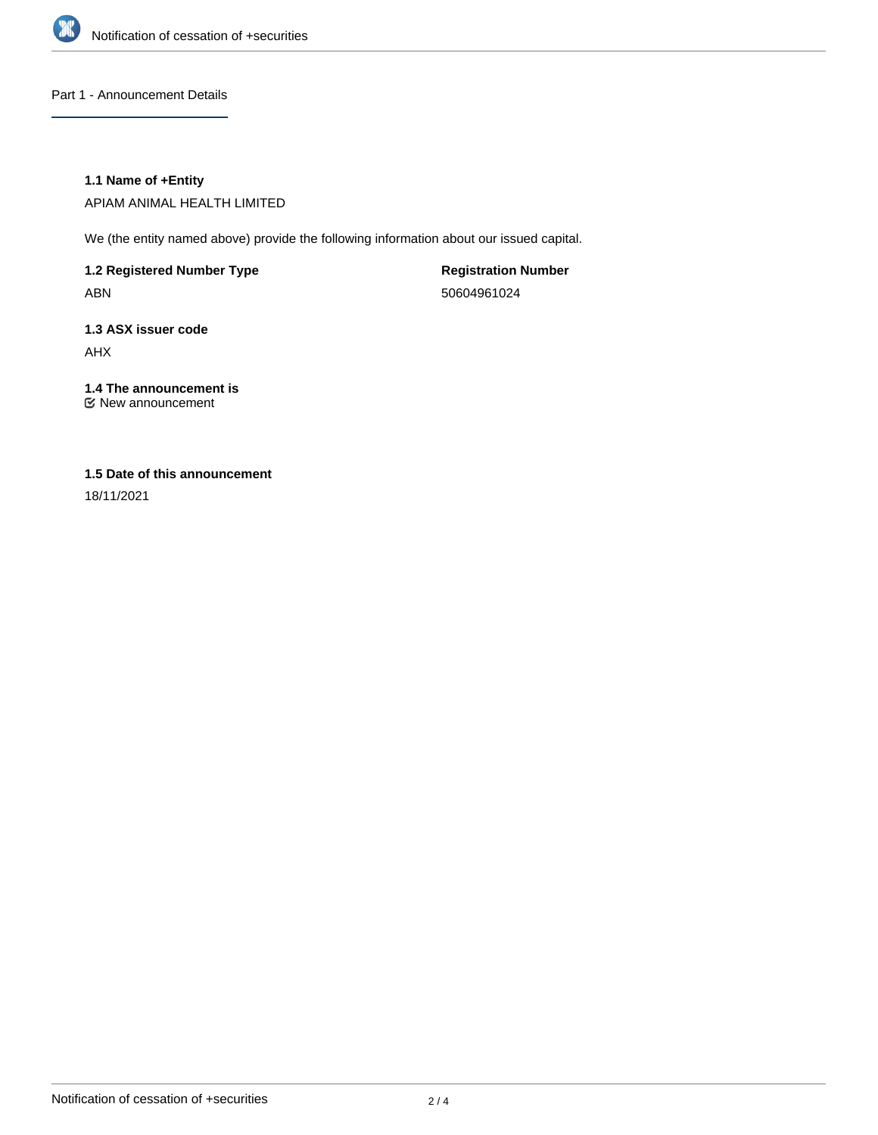

Part 1 - Announcement Details

## **1.1 Name of +Entity**

APIAM ANIMAL HEALTH LIMITED

We (the entity named above) provide the following information about our issued capital.

**1.2 Registered Number Type** ABN

**Registration Number** 50604961024

**1.3 ASX issuer code** AHX

**1.4 The announcement is** New announcement

## **1.5 Date of this announcement**

18/11/2021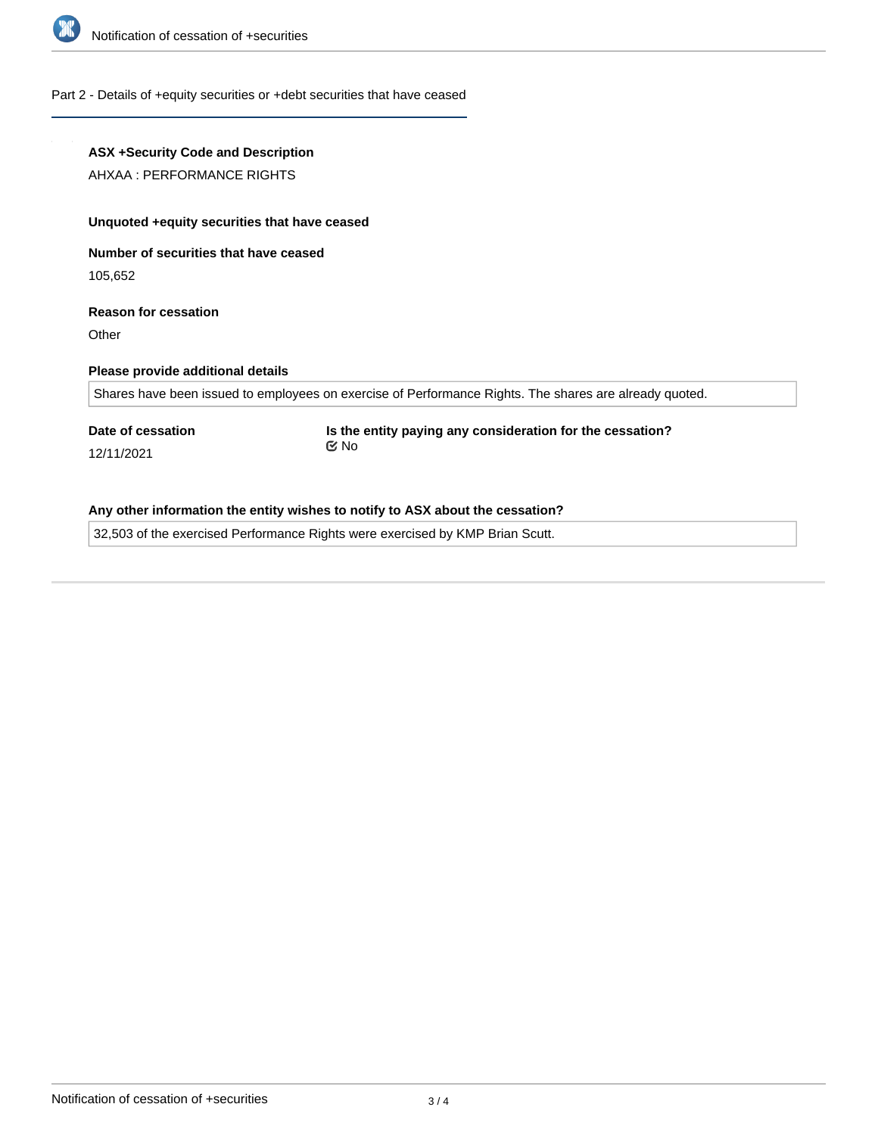

#### Part 2 - Details of +equity securities or +debt securities that have ceased

# **ASX +Security Code and Description** AHXAA : PERFORMANCE RIGHTS **Unquoted +equity securities that have ceased Number of securities that have ceased** 105,652 **Reason for cessation Other Please provide additional details** Shares have been issued to employees on exercise of Performance Rights. The shares are already quoted. **Date of cessation** 12/11/2021 **Is the entity paying any consideration for the cessation?** No

# **Any other information the entity wishes to notify to ASX about the cessation?**

32,503 of the exercised Performance Rights were exercised by KMP Brian Scutt.